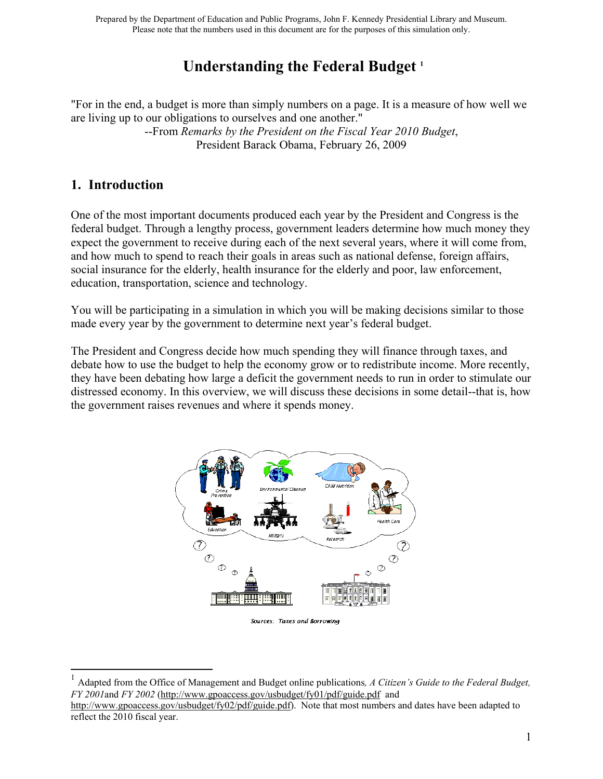# **Understanding the Federal Budget <sup>1</sup>**

"For in the end, a budget is more than simply numbers on a page. It is a measure of how well we are living up to our obligations to ourselves and one another."

> --From *Remarks by the President on the Fiscal Year 2010 Budget*, President Barack Obama, February 26, 2009

## **1. Introduction**

 $\overline{a}$ 

One of the most important documents produced each year by the President and Congress is the federal budget. Through a lengthy process, government leaders determine how much money they expect the government to receive during each of the next several years, where it will come from, and how much to spend to reach their goals in areas such as national defense, foreign affairs, social insurance for the elderly, health insurance for the elderly and poor, law enforcement, education, transportation, science and technology.

You will be participating in a simulation in which you will be making decisions similar to those made every year by the government to determine next year's federal budget.

The President and Congress decide how much spending they will finance through taxes, and debate how to use the budget to help the economy grow or to redistribute income. More recently, they have been debating how large a deficit the government needs to run in order to stimulate our distressed economy. In this overview, we will discuss these decisions in some detail--that is, how the government raises revenues and where it spends money.



Sources: Taxes and Borrowing

<sup>1</sup> Adapted from the Office of Management and Budget online publications*, A Citizen's Guide to the Federal Budget, FY 2001*and *FY 2002* (http://www.gpoaccess.gov/usbudget/fy01/pdf/guide.pdf and

http://www.gpoaccess.gov/usbudget/fy02/pdf/guide.pdf). Note that most numbers and dates have been adapted to reflect the 2010 fiscal year.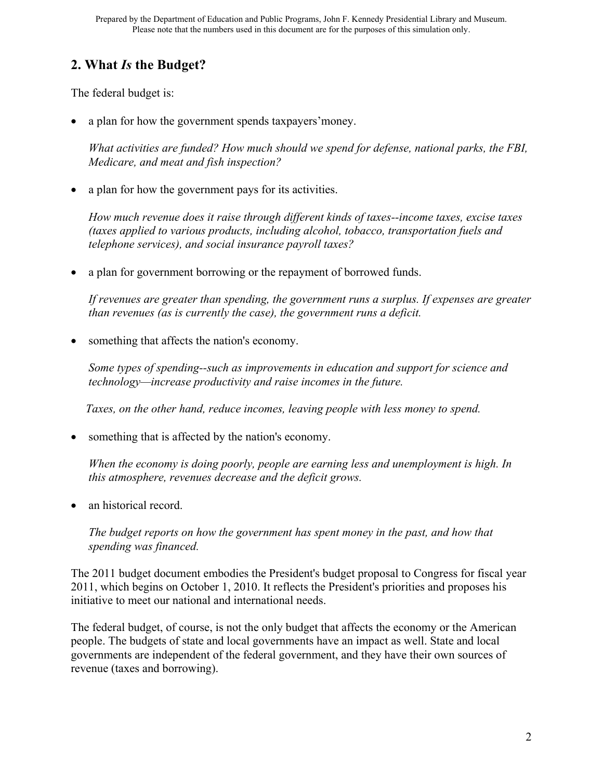# **2. What** *Is* **the Budget?**

The federal budget is:

a plan for how the government spends taxpayers'money.

*What activities are funded? How much should we spend for defense, national parks, the FBI, Medicare, and meat and fish inspection?*

a plan for how the government pays for its activities.

*How much revenue does it raise through different kinds of taxes--income taxes, excise taxes (taxes applied to various products, including alcohol, tobacco, transportation fuels and telephone services), and social insurance payroll taxes?*

a plan for government borrowing or the repayment of borrowed funds.

*If revenues are greater than spending, the government runs a surplus. If expenses are greater than revenues (as is currently the case), the government runs a deficit.*

something that affects the nation's economy.

*Some types of spending--such as improvements in education and support for science and technology—increase productivity and raise incomes in the future.*

 *Taxes, on the other hand, reduce incomes, leaving people with less money to spend.*

• something that is affected by the nation's economy.

*When the economy is doing poorly, people are earning less and unemployment is high. In this atmosphere, revenues decrease and the deficit grows.*

an historical record.

*The budget reports on how the government has spent money in the past, and how that spending was financed.*

The 2011 budget document embodies the President's budget proposal to Congress for fiscal year 2011, which begins on October 1, 2010. It reflects the President's priorities and proposes his initiative to meet our national and international needs.

The federal budget, of course, is not the only budget that affects the economy or the American people. The budgets of state and local governments have an impact as well. State and local governments are independent of the federal government, and they have their own sources of revenue (taxes and borrowing).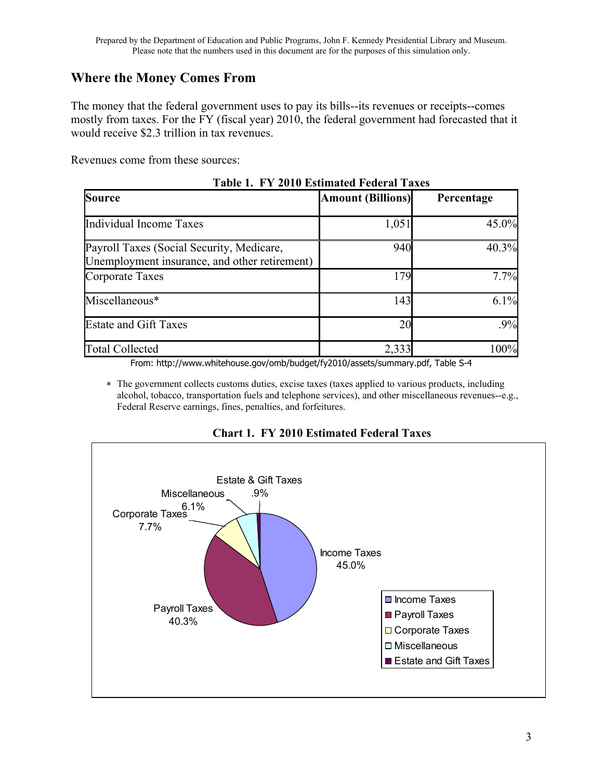# **Where the Money Comes From**

The money that the federal government uses to pay its bills--its revenues or receipts--comes mostly from taxes. For the FY (fiscal year) 2010, the federal government had forecasted that it would receive \$2.3 trillion in tax revenues.

Revenues come from these sources:

| TADIC 1. T I ZVIV ESUMARCA FURTAI TAAUS |            |  |  |  |
|-----------------------------------------|------------|--|--|--|
| <b>Amount (Billions)</b>                | Percentage |  |  |  |
| 1,051                                   | 45.0%      |  |  |  |
| 940                                     | 40.3%      |  |  |  |
| 179                                     | 7.7%       |  |  |  |
| 143                                     | 6.1%       |  |  |  |
| 2 <sup>0</sup>                          | .9%        |  |  |  |
| 2,333                                   | 100%       |  |  |  |
|                                         |            |  |  |  |

**Table 1. FY 2010 Estimated Federal Taxes**

From: http://www.whitehouse.gov/omb/budget/fy2010/assets/summary.pdf, Table S-4

 The government collects customs duties, excise taxes (taxes applied to various products, including alcohol, tobacco, transportation fuels and telephone services), and other miscellaneous revenues--e.g., Federal Reserve earnings, fines, penalties, and forfeitures.



**Chart 1. FY 2010 Estimated Federal Taxes**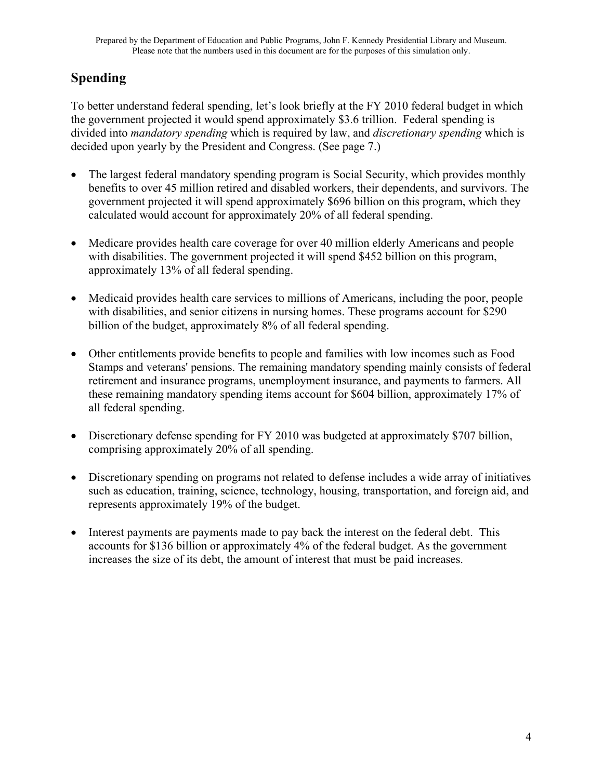# **Spending**

To better understand federal spending, let's look briefly at the FY 2010 federal budget in which the government projected it would spend approximately \$3.6 trillion. Federal spending is divided into *mandatory spending* which is required by law, and *discretionary spending* which is decided upon yearly by the President and Congress. (See page 7.)

- The largest federal mandatory spending program is Social Security, which provides monthly benefits to over 45 million retired and disabled workers, their dependents, and survivors. The government projected it will spend approximately \$696 billion on this program, which they calculated would account for approximately 20% of all federal spending.
- Medicare provides health care coverage for over 40 million elderly Americans and people with disabilities. The government projected it will spend \$452 billion on this program, approximately 13% of all federal spending.
- Medicaid provides health care services to millions of Americans, including the poor, people with disabilities, and senior citizens in nursing homes. These programs account for \$290 billion of the budget, approximately 8% of all federal spending.
- Other entitlements provide benefits to people and families with low incomes such as Food Stamps and veterans' pensions. The remaining mandatory spending mainly consists of federal retirement and insurance programs, unemployment insurance, and payments to farmers. All these remaining mandatory spending items account for \$604 billion, approximately 17% of all federal spending.
- Discretionary defense spending for FY 2010 was budgeted at approximately \$707 billion, comprising approximately 20% of all spending.
- Discretionary spending on programs not related to defense includes a wide array of initiatives such as education, training, science, technology, housing, transportation, and foreign aid, and represents approximately 19% of the budget.
- Interest payments are payments made to pay back the interest on the federal debt. This accounts for \$136 billion or approximately 4% of the federal budget. As the government increases the size of its debt, the amount of interest that must be paid increases.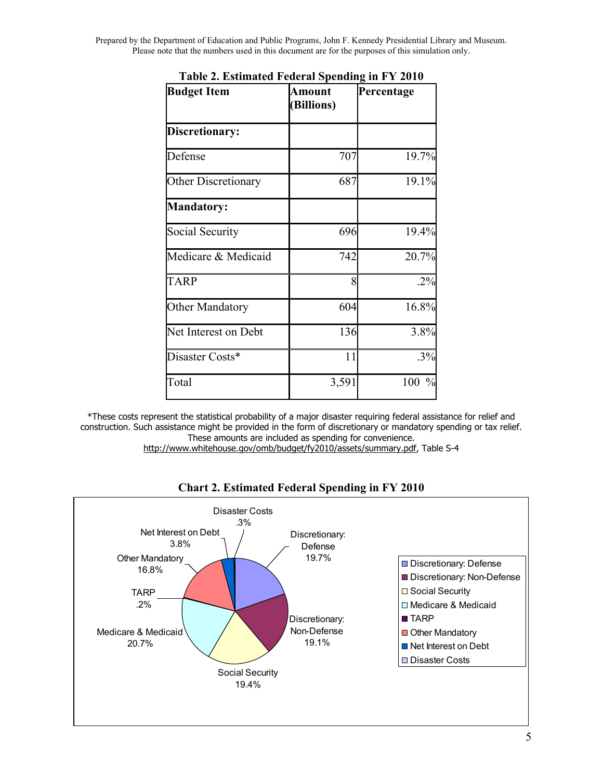Prepared by the Department of Education and Public Programs, John F. Kennedy Presidential Library and Museum. Please note that the numbers used in this document are for the purposes of this simulation only.

| <b>Budget Item</b>     | Amount<br>(Billions) | Percentage           |
|------------------------|----------------------|----------------------|
| Discretionary:         |                      |                      |
| Defense                | 707                  | 19.7%                |
| Other Discretionary    | 687                  | 19.1%                |
| <b>Mandatory:</b>      |                      |                      |
| Social Security        | 696                  | 19.4%                |
| Medicare & Medicaid    | 742                  | 20.7%                |
| <b>TARP</b>            | 8                    | $.2\%$               |
| <b>Other Mandatory</b> | 604                  | 16.8%                |
| Net Interest on Debt   | 136                  | 3.8%                 |
| Disaster Costs*        | 11                   | .3%                  |
| Total                  | 3,591                | 100<br>$\frac{0}{0}$ |

**Table 2. Estimated Federal Spending in FY 2010**

\*These costs represent the statistical probability of a major disaster requiring federal assistance for relief and construction. Such assistance might be provided in the form of discretionary or mandatory spending or tax relief. These amounts are included as spending for convenience.

[http://www.whitehouse.gov/omb/budget/fy2010/assets/summary.pdf,](http://www.whitehouse.gov/omb/budget/fy2010/assets/summary.pdf) Table S-4



**Chart 2. Estimated Federal Spending in FY 2010**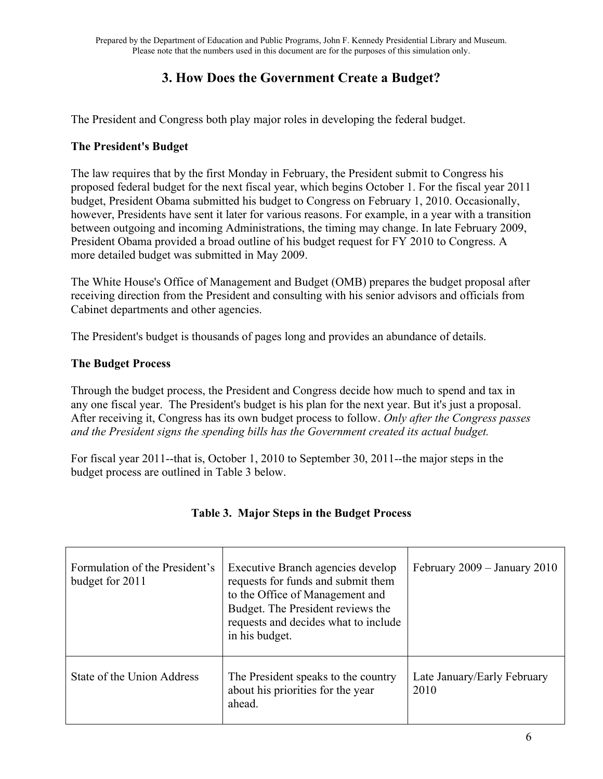# **3. How Does the Government Create a Budget?**

The President and Congress both play major roles in developing the federal budget.

### **The President's Budget**

The law requires that by the first Monday in February, the President submit to Congress his proposed federal budget for the next fiscal year, which begins October 1. For the fiscal year 2011 budget, President Obama submitted his budget to Congress on February 1, 2010. Occasionally, however, Presidents have sent it later for various reasons. For example, in a year with a transition between outgoing and incoming Administrations, the timing may change. In late February 2009, President Obama provided a broad outline of his budget request for FY 2010 to Congress. A more detailed budget was submitted in May 2009.

The White House's Office of Management and Budget (OMB) prepares the budget proposal after receiving direction from the President and consulting with his senior advisors and officials from Cabinet departments and other agencies.

The President's budget is thousands of pages long and provides an abundance of details.

#### **The Budget Process**

Through the budget process, the President and Congress decide how much to spend and tax in any one fiscal year. The President's budget is his plan for the next year. But it's just a proposal. After receiving it, Congress has its own budget process to follow. *Only after the Congress passes and the President signs the spending bills has the Government created its actual budget.*

For fiscal year 2011--that is, October 1, 2010 to September 30, 2011--the major steps in the budget process are outlined in Table 3 below.

| Formulation of the President's<br>budget for 2011 | Executive Branch agencies develop<br>requests for funds and submit them<br>to the Office of Management and<br>Budget. The President reviews the<br>requests and decides what to include<br>in his budget. | February 2009 - January 2010        |
|---------------------------------------------------|-----------------------------------------------------------------------------------------------------------------------------------------------------------------------------------------------------------|-------------------------------------|
| State of the Union Address                        | The President speaks to the country<br>about his priorities for the year<br>ahead.                                                                                                                        | Late January/Early February<br>2010 |

### **Table 3. Major Steps in the Budget Process**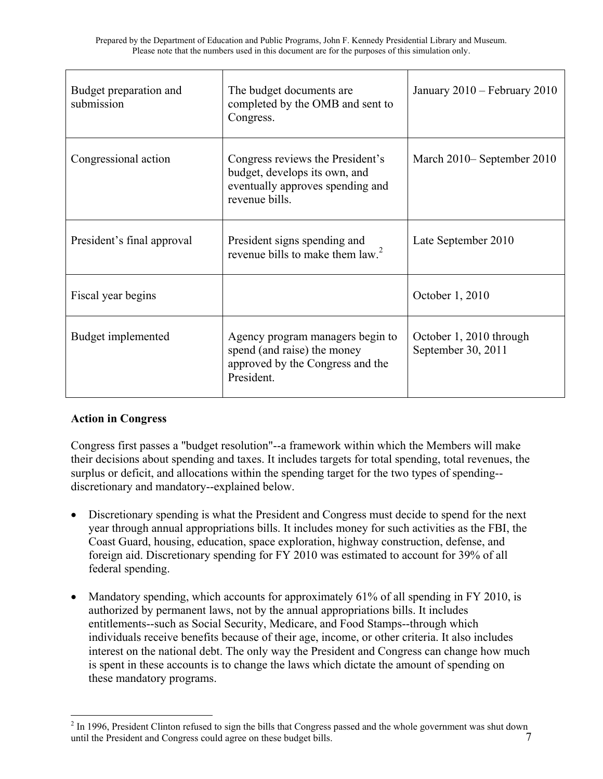| Budget preparation and<br>submission | The budget documents are<br>completed by the OMB and sent to<br>Congress.                                               | January 2010 - February 2010                  |
|--------------------------------------|-------------------------------------------------------------------------------------------------------------------------|-----------------------------------------------|
| Congressional action                 | Congress reviews the President's<br>budget, develops its own, and<br>eventually approves spending and<br>revenue bills. | March 2010– September 2010                    |
| President's final approval           | President signs spending and<br>revenue bills to make them law. <sup>2</sup>                                            | Late September 2010                           |
| Fiscal year begins                   |                                                                                                                         | October 1, 2010                               |
| Budget implemented                   | Agency program managers begin to<br>spend (and raise) the money<br>approved by the Congress and the<br>President.       | October 1, 2010 through<br>September 30, 2011 |

## **Action in Congress**

 $\overline{a}$ 

Congress first passes a "budget resolution"--a framework within which the Members will make their decisions about spending and taxes. It includes targets for total spending, total revenues, the surplus or deficit, and allocations within the spending target for the two types of spending- discretionary and mandatory--explained below.

- Discretionary spending is what the President and Congress must decide to spend for the next year through annual appropriations bills. It includes money for such activities as the FBI, the Coast Guard, housing, education, space exploration, highway construction, defense, and foreign aid. Discretionary spending for FY 2010 was estimated to account for 39% of all federal spending.
- Mandatory spending, which accounts for approximately 61% of all spending in FY 2010, is authorized by permanent laws, not by the annual appropriations bills. It includes entitlements--such as Social Security, Medicare, and Food Stamps--through which individuals receive benefits because of their age, income, or other criteria. It also includes interest on the national debt. The only way the President and Congress can change how much is spent in these accounts is to change the laws which dictate the amount of spending on these mandatory programs.

<sup>7</sup>  $2 \text{ In } 1996$ , President Clinton refused to sign the bills that Congress passed and the whole government was shut down until the President and Congress could agree on these budget bills.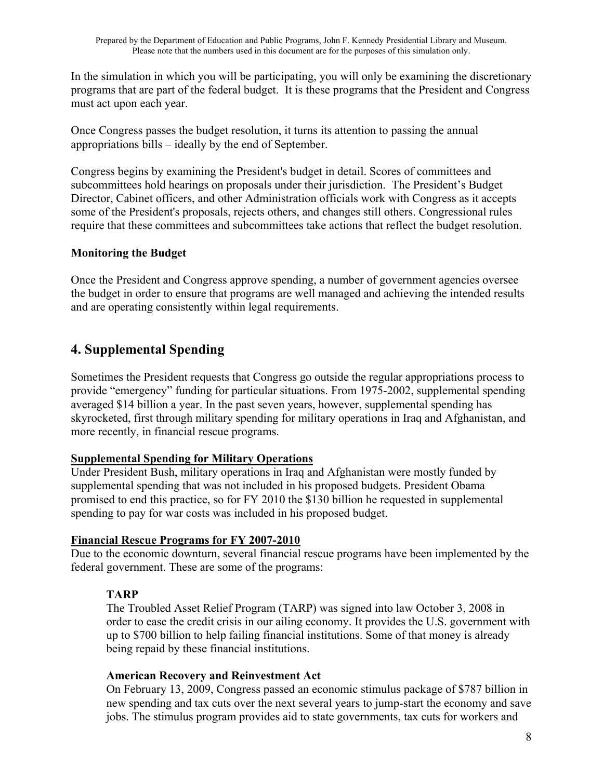In the simulation in which you will be participating, you will only be examining the discretionary programs that are part of the federal budget. It is these programs that the President and Congress must act upon each year.

Once Congress passes the budget resolution, it turns its attention to passing the annual appropriations bills – ideally by the end of September.

Congress begins by examining the President's budget in detail. Scores of committees and subcommittees hold hearings on proposals under their jurisdiction. The President's Budget Director, Cabinet officers, and other Administration officials work with Congress as it accepts some of the President's proposals, rejects others, and changes still others. Congressional rules require that these committees and subcommittees take actions that reflect the budget resolution.

### **Monitoring the Budget**

Once the President and Congress approve spending, a number of government agencies oversee the budget in order to ensure that programs are well managed and achieving the intended results and are operating consistently within legal requirements.

# **4. Supplemental Spending**

Sometimes the President requests that Congress go outside the regular appropriations process to provide "emergency" funding for particular situations. From 1975-2002, supplemental spending averaged \$14 billion a year. In the past seven years, however, supplemental spending has skyrocketed, first through military spending for military operations in Iraq and Afghanistan, and more recently, in financial rescue programs.

### **Supplemental Spending for Military Operations**

Under President Bush, military operations in Iraq and Afghanistan were mostly funded by supplemental spending that was not included in his proposed budgets. President Obama promised to end this practice, so for FY 2010 the \$130 billion he requested in supplemental spending to pay for war costs was included in his proposed budget.

### **Financial Rescue Programs for FY 2007-2010**

Due to the economic downturn, several financial rescue programs have been implemented by the federal government. These are some of the programs:

### **TARP**

The Troubled Asset Relief Program (TARP) was signed into law October 3, 2008 in order to ease the credit crisis in our ailing economy. It provides the U.S. government with up to \$700 billion to help failing financial institutions. Some of that money is already being repaid by these financial institutions.

### **American Recovery and Reinvestment Act**

On February 13, 2009, Congress passed an economic stimulus package of \$787 billion in new spending and tax cuts over the next several years to jump-start the economy and save jobs. The stimulus program provides aid to state governments, tax cuts for workers and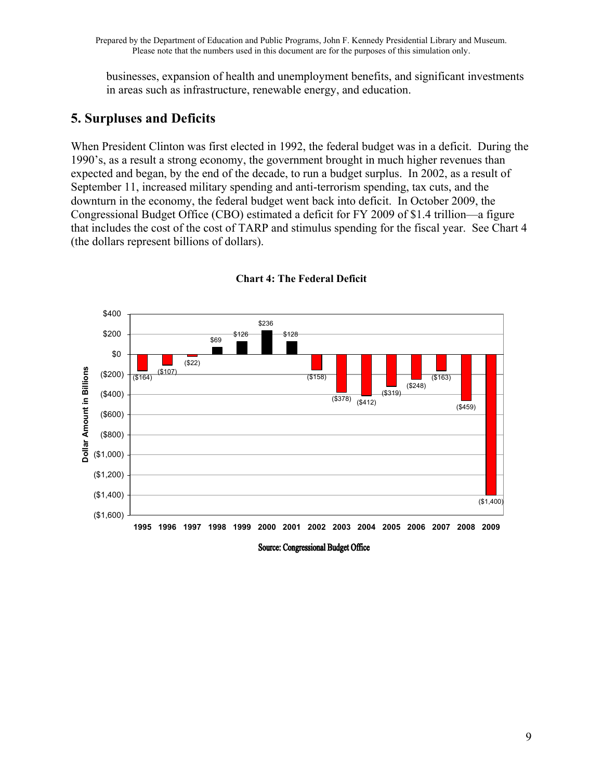businesses, expansion of health and unemployment benefits, and significant investments in areas such as infrastructure, renewable energy, and education.

# **5. Surpluses and Deficits**

When President Clinton was first elected in 1992, the federal budget was in a deficit. During the 1990's, as a result a strong economy, the government brought in much higher revenues than expected and began, by the end of the decade, to run a budget surplus. In 2002, as a result of September 11, increased military spending and anti-terrorism spending, tax cuts, and the downturn in the economy, the federal budget went back into deficit. In October 2009, the Congressional Budget Office (CBO) estimated a deficit for FY 2009 of \$1.4 trillion—a figure that includes the cost of the cost of TARP and stimulus spending for the fiscal year. See Chart 4 (the dollars represent billions of dollars).



**Chart 4: The Federal Deficit**

Source: Congressional Budget Office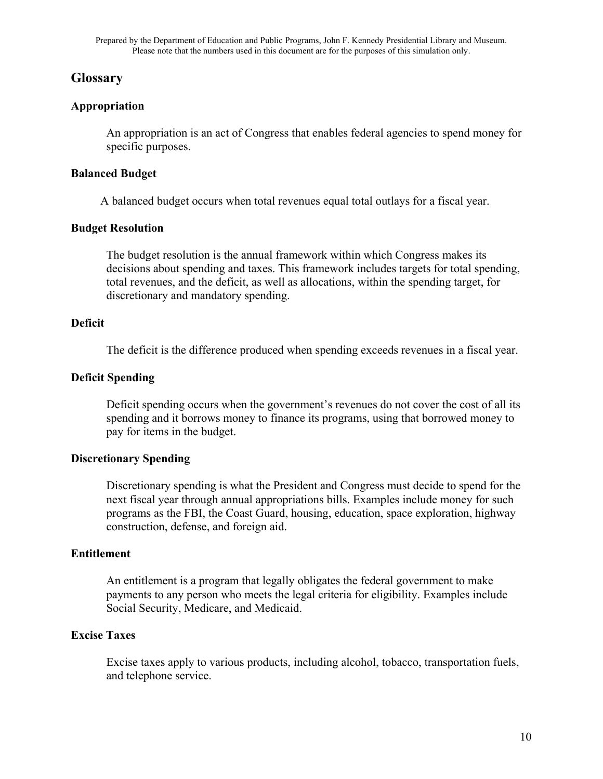## **Glossary**

### **Appropriation**

An appropriation is an act of Congress that enables federal agencies to spend money for specific purposes.

### **Balanced Budget**

A balanced budget occurs when total revenues equal total outlays for a fiscal year.

### **Budget Resolution**

The budget resolution is the annual framework within which Congress makes its decisions about spending and taxes. This framework includes targets for total spending, total revenues, and the deficit, as well as allocations, within the spending target, for discretionary and mandatory spending.

### **Deficit**

The deficit is the difference produced when spending exceeds revenues in a fiscal year.

### **Deficit Spending**

Deficit spending occurs when the government's revenues do not cover the cost of all its spending and it borrows money to finance its programs, using that borrowed money to pay for items in the budget.

### **Discretionary Spending**

Discretionary spending is what the President and Congress must decide to spend for the next fiscal year through annual appropriations bills. Examples include money for such programs as the FBI, the Coast Guard, housing, education, space exploration, highway construction, defense, and foreign aid.

### **Entitlement**

An entitlement is a program that legally obligates the federal government to make payments to any person who meets the legal criteria for eligibility. Examples include Social Security, Medicare, and Medicaid.

### **Excise Taxes**

Excise taxes apply to various products, including alcohol, tobacco, transportation fuels, and telephone service.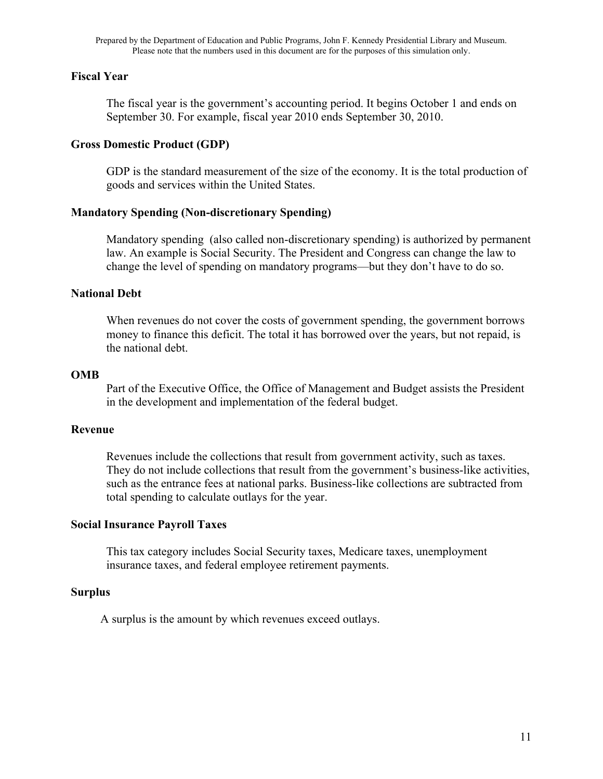#### **Fiscal Year**

The fiscal year is the government's accounting period. It begins October 1 and ends on September 30. For example, fiscal year 2010 ends September 30, 2010.

#### **Gross Domestic Product (GDP)**

GDP is the standard measurement of the size of the economy. It is the total production of goods and services within the United States.

#### **Mandatory Spending (Non-discretionary Spending)**

Mandatory spending (also called non-discretionary spending) is authorized by permanent law. An example is Social Security. The President and Congress can change the law to change the level of spending on mandatory programs—but they don't have to do so.

#### **National Debt**

When revenues do not cover the costs of government spending, the government borrows money to finance this deficit. The total it has borrowed over the years, but not repaid, is the national debt.

#### **OMB**

Part of the Executive Office, the Office of Management and Budget assists the President in the development and implementation of the federal budget.

#### **Revenue**

Revenues include the collections that result from government activity, such as taxes. They do not include collections that result from the government's business-like activities, such as the entrance fees at national parks. Business-like collections are subtracted from total spending to calculate outlays for the year.

#### **Social Insurance Payroll Taxes**

This tax category includes Social Security taxes, Medicare taxes, unemployment insurance taxes, and federal employee retirement payments.

#### **Surplus**

A surplus is the amount by which revenues exceed outlays.